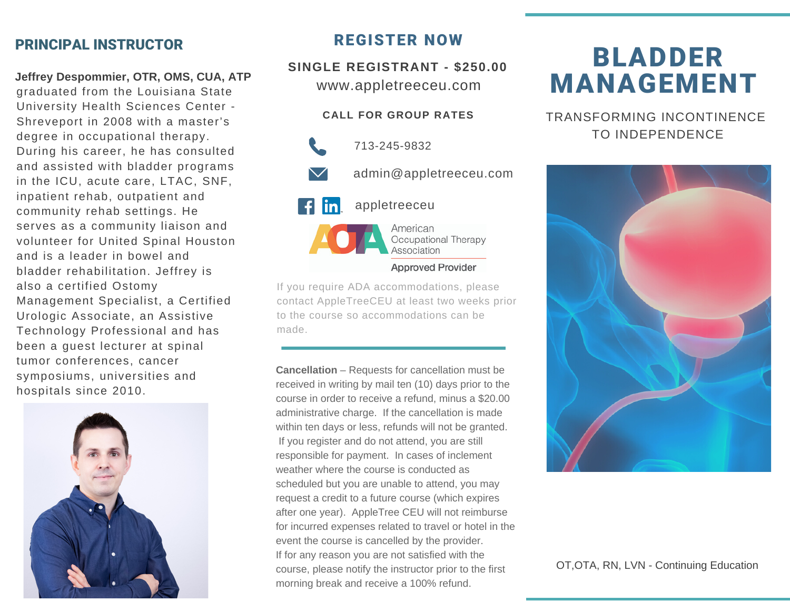## PRINCIPAL INSTRUCTOR

**Jeffrey Despommier, OTR, OMS, CUA, ATP**

graduated from the Louisiana State University Health Sciences Center - Shreveport in 2008 with a master's degree in occupational therapy. During his career, he has consulted and assisted with bladder programs in the ICU, acute care, LTAC, SNF, inpatient rehab, outpatient and community rehab settings. He serves as a community liaison and volunteer for United Spinal Houston and is a leader in bowel and bladder rehabilitation. Jeffrey is also a certified Ostomy Management Specialist, a Certified Urologic Associate, an Assistive Technology Professional and has been a guest lecturer at spinal tumor conferences, cancer symposiums, universities and hospitals since 2010.



## REGISTER NOW

www.appletreeceu.com **SINGLE REGISTRANT - \$250.00**

## **CALL FOR GROUP RATES**

admin@appletreeceu.com appletreeceu 713-245-9832

> American Occupational Therapy Association

### **Approved Provider**

If you require ADA accommodations, please contact AppleTreeCEU at least two weeks prior to the course so accommodations can be made.

**Cancellation** – Requests for cancellation must be received in writing by mail ten (10) days prior to the course in order to receive a refund, minus a \$20.00 administrative charge. If the cancellation is made within ten days or less, refunds will not be granted. If you register and do not attend, you are still responsible for payment. In cases of inclement weather where the course is conducted as scheduled but you are unable to attend, you may request a credit to a future course (which expires after one year). AppleTree CEU will not reimburse for incurred expenses related to travel or hotel in the event the course is cancelled by the provider. If for any reason you are not satisfied with the course, please notify the instructor prior to the first morning break and receive a 100% refund.

# BLADDER MANAGEMENT

TRANSFORMING INCONTINENCE TO INDEPENDENCE



OT,OTA, RN, LVN - Continuing Education